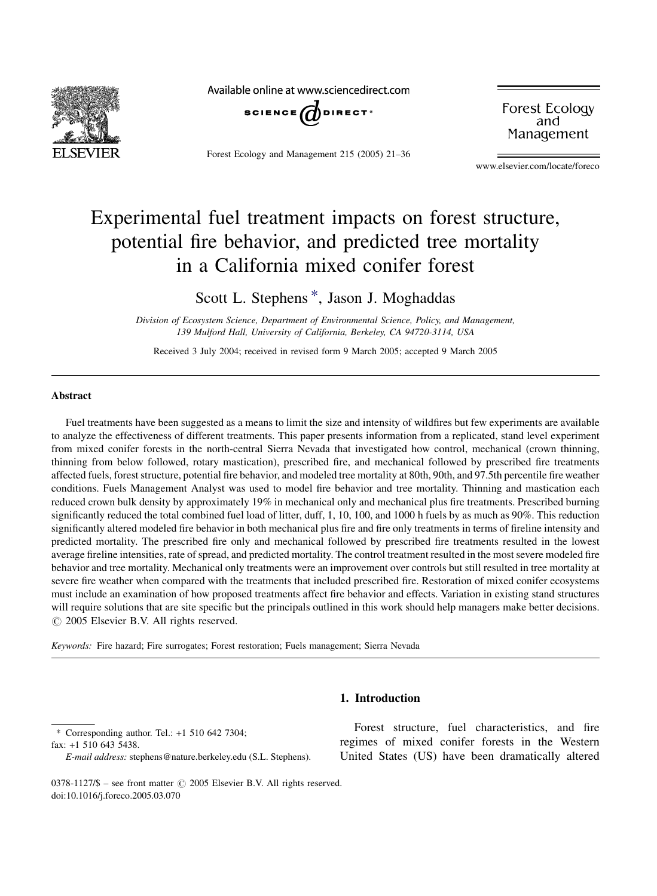

Available online at www.sciencedirect.com



Forest Ecology and Management 215 (2005) 21–36

Forest Ecology and Management

www.elsevier.com/locate/foreco

# Experimental fuel treatment impacts on forest structure, potential fire behavior, and predicted tree mortality in a California mixed conifer forest

Scott L. Stephens \*, Jason J. Moghaddas

Division of Ecosystem Science, Department of Environmental Science, Policy, and Management, 139 Mulford Hall, University of California, Berkeley, CA 94720-3114, USA

Received 3 July 2004; received in revised form 9 March 2005; accepted 9 March 2005

#### Abstract

Fuel treatments have been suggested as a means to limit the size and intensity of wildfires but few experiments are available to analyze the effectiveness of different treatments. This paper presents information from a replicated, stand level experiment from mixed conifer forests in the north-central Sierra Nevada that investigated how control, mechanical (crown thinning, thinning from below followed, rotary mastication), prescribed fire, and mechanical followed by prescribed fire treatments affected fuels, forest structure, potential fire behavior, and modeled tree mortality at 80th, 90th, and 97.5th percentile fire weather conditions. Fuels Management Analyst was used to model fire behavior and tree mortality. Thinning and mastication each reduced crown bulk density by approximately 19% in mechanical only and mechanical plus fire treatments. Prescribed burning significantly reduced the total combined fuel load of litter, duff, 1, 10, 100, and 1000 h fuels by as much as 90%. This reduction significantly altered modeled fire behavior in both mechanical plus fire and fire only treatments in terms of fireline intensity and predicted mortality. The prescribed fire only and mechanical followed by prescribed fire treatments resulted in the lowest average fireline intensities, rate of spread, and predicted mortality. The control treatment resulted in the most severe modeled fire behavior and tree mortality. Mechanical only treatments were an improvement over controls but still resulted in tree mortality at severe fire weather when compared with the treatments that included prescribed fire. Restoration of mixed conifer ecosystems must include an examination of how proposed treatments affect fire behavior and effects. Variation in existing stand structures will require solutions that are site specific but the principals outlined in this work should help managers make better decisions.  $\odot$  2005 Elsevier B.V. All rights reserved.

Keywords: Fire hazard; Fire surrogates; Forest restoration; Fuels management; Sierra Nevada

## 1. Introduction

\* Corresponding author. Tel.: +1 510 642 7304; fax: +1 510 643 5438. E-mail address: stephens@nature.berkeley.edu (S.L. Stephens).

Forest structure, fuel characteristics, and fire regimes of mixed conifer forests in the Western United States (US) have been dramatically altered

<sup>0378-1127/\$ –</sup> see front matter © 2005 Elsevier B.V. All rights reserved. doi:10.1016/j.foreco.2005.03.070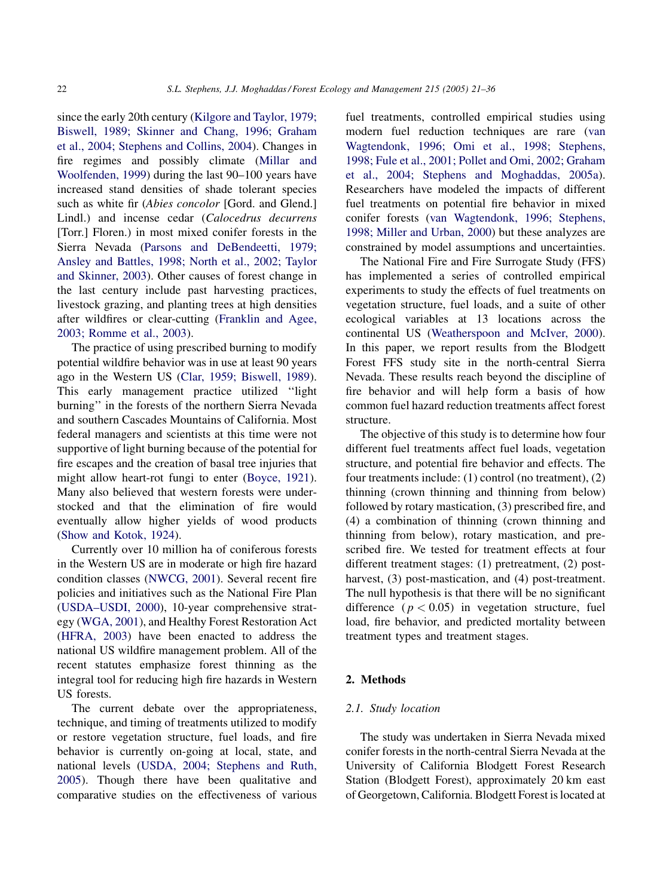since the early 20th century ([Kilgore and Taylor, 1979;](#page-14-0) [Biswell, 1989; Skinner and Chang, 1996; Graham](#page-14-0) [et al., 2004; Stephens and Collins, 2004\)](#page-14-0). Changes in fire regimes and possibly climate ([Millar and](#page-14-0) [Woolfenden, 1999](#page-14-0)) during the last 90–100 years have increased stand densities of shade tolerant species such as white fir (Abies concolor [Gord. and Glend.] Lindl.) and incense cedar (Calocedrus decurrens [Torr.] Floren.) in most mixed conifer forests in the Sierra Nevada ([Parsons and DeBendeetti, 1979;](#page-14-0) [Ansley and Battles, 1998; North et al., 2002; Taylor](#page-14-0) [and Skinner, 2003\)](#page-14-0). Other causes of forest change in the last century include past harvesting practices, livestock grazing, and planting trees at high densities after wildfires or clear-cutting [\(Franklin and Agee,](#page-13-0) [2003; Romme et al., 2003\)](#page-13-0).

The practice of using prescribed burning to modify potential wildfire behavior was in use at least 90 years ago in the Western US ([Clar, 1959; Biswell, 1989\)](#page-13-0). This early management practice utilized ''light burning'' in the forests of the northern Sierra Nevada and southern Cascades Mountains of California. Most federal managers and scientists at this time were not supportive of light burning because of the potential for fire escapes and the creation of basal tree injuries that might allow heart-rot fungi to enter ([Boyce, 1921\)](#page-13-0). Many also believed that western forests were understocked and that the elimination of fire would eventually allow higher yields of wood products ([Show and Kotok, 1924\)](#page-15-0).

Currently over 10 million ha of coniferous forests in the Western US are in moderate or high fire hazard condition classes ([NWCG, 2001](#page-14-0)). Several recent fire policies and initiatives such as the National Fire Plan ([USDA–USDI, 2000](#page-15-0)), 10-year comprehensive strategy [\(WGA, 2001](#page-15-0)), and Healthy Forest Restoration Act ([HFRA, 2003\)](#page-14-0) have been enacted to address the national US wildfire management problem. All of the recent statutes emphasize forest thinning as the integral tool for reducing high fire hazards in Western US forests.

The current debate over the appropriateness, technique, and timing of treatments utilized to modify or restore vegetation structure, fuel loads, and fire behavior is currently on-going at local, state, and national levels ([USDA, 2004; Stephens and Ruth,](#page-15-0) [2005](#page-15-0)). Though there have been qualitative and comparative studies on the effectiveness of various fuel treatments, controlled empirical studies using modern fuel reduction techniques are rare [\(van](#page-15-0) [Wagtendonk, 1996; Omi et al., 1998; Stephens,](#page-15-0) [1998; Fule et al., 2001; Pollet and Omi, 2002; Graham](#page-15-0) [et al., 2004; Stephens and Moghaddas, 2005a\)](#page-15-0). Researchers have modeled the impacts of different fuel treatments on potential fire behavior in mixed conifer forests [\(van Wagtendonk, 1996; Stephens,](#page-15-0) [1998; Miller and Urban, 2000](#page-15-0)) but these analyzes are constrained by model assumptions and uncertainties.

The National Fire and Fire Surrogate Study (FFS) has implemented a series of controlled empirical experiments to study the effects of fuel treatments on vegetation structure, fuel loads, and a suite of other ecological variables at 13 locations across the continental US [\(Weatherspoon and McIver, 2000\)](#page-15-0). In this paper, we report results from the Blodgett Forest FFS study site in the north-central Sierra Nevada. These results reach beyond the discipline of fire behavior and will help form a basis of how common fuel hazard reduction treatments affect forest structure.

The objective of this study is to determine how four different fuel treatments affect fuel loads, vegetation structure, and potential fire behavior and effects. The four treatments include: (1) control (no treatment), (2) thinning (crown thinning and thinning from below) followed by rotary mastication, (3) prescribed fire, and (4) a combination of thinning (crown thinning and thinning from below), rotary mastication, and prescribed fire. We tested for treatment effects at four different treatment stages: (1) pretreatment, (2) postharvest, (3) post-mastication, and (4) post-treatment. The null hypothesis is that there will be no significant difference ( $p < 0.05$ ) in vegetation structure, fuel load, fire behavior, and predicted mortality between treatment types and treatment stages.

#### 2. Methods

# 2.1. Study location

The study was undertaken in Sierra Nevada mixed conifer forests in the north-central Sierra Nevada at the University of California Blodgett Forest Research Station (Blodgett Forest), approximately 20 km east of Georgetown, California. Blodgett Forest is located at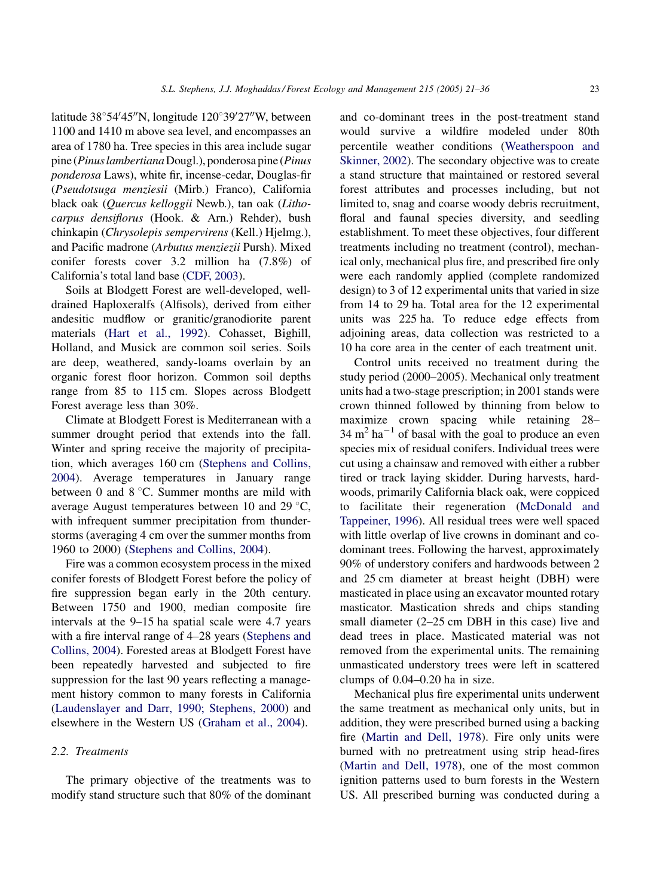latitude  $38^{\circ}54'45''$ N, longitude  $120^{\circ}39'27''$ W, between 1100 and 1410 m above sea level, and encompasses an area of 1780 ha. Tree species in this area include sugar pine (PinuslambertianaDougl.), ponderosapine (Pinus ponderosa Laws), white fir, incense-cedar, Douglas-fir (Pseudotsuga menziesii (Mirb.) Franco), California black oak (Quercus kelloggii Newb.), tan oak (Lithocarpus densiflorus (Hook. & Arn.) Rehder), bush chinkapin (Chrysolepis sempervirens (Kell.) Hjelmg.), and Pacific madrone (Arbutus menziezii Pursh). Mixed conifer forests cover 3.2 million ha (7.8%) of California's total land base [\(CDF, 2003\)](#page-13-0).

Soils at Blodgett Forest are well-developed, welldrained Haploxeralfs (Alfisols), derived from either andesitic mudflow or granitic/granodiorite parent materials ([Hart et al., 1992\)](#page-14-0). Cohasset, Bighill, Holland, and Musick are common soil series. Soils are deep, weathered, sandy-loams overlain by an organic forest floor horizon. Common soil depths range from 85 to 115 cm. Slopes across Blodgett Forest average less than 30%.

Climate at Blodgett Forest is Mediterranean with a summer drought period that extends into the fall. Winter and spring receive the majority of precipitation, which averages 160 cm [\(Stephens and Collins,](#page-15-0) [2004](#page-15-0)). Average temperatures in January range between 0 and  $8^{\circ}$ C. Summer months are mild with average August temperatures between 10 and 29  $\mathrm{^{\circ}C}$ , with infrequent summer precipitation from thunderstorms (averaging 4 cm over the summer months from 1960 to 2000) ([Stephens and Collins, 2004\)](#page-15-0).

Fire was a common ecosystem process in the mixed conifer forests of Blodgett Forest before the policy of fire suppression began early in the 20th century. Between 1750 and 1900, median composite fire intervals at the 9–15 ha spatial scale were 4.7 years with a fire interval range of 4–28 years ([Stephens and](#page-15-0) [Collins, 2004](#page-15-0)). Forested areas at Blodgett Forest have been repeatedly harvested and subjected to fire suppression for the last 90 years reflecting a management history common to many forests in California ([Laudenslayer and Darr, 1990; Stephens, 2000\)](#page-14-0) and elsewhere in the Western US ([Graham et al., 2004](#page-14-0)).

# 2.2. Treatments

The primary objective of the treatments was to modify stand structure such that 80% of the dominant and co-dominant trees in the post-treatment stand would survive a wildfire modeled under 80th percentile weather conditions [\(Weatherspoon and](#page-15-0) [Skinner, 2002](#page-15-0)). The secondary objective was to create a stand structure that maintained or restored several forest attributes and processes including, but not limited to, snag and coarse woody debris recruitment, floral and faunal species diversity, and seedling establishment. To meet these objectives, four different treatments including no treatment (control), mechanical only, mechanical plus fire, and prescribed fire only were each randomly applied (complete randomized design) to 3 of 12 experimental units that varied in size from 14 to 29 ha. Total area for the 12 experimental units was 225 ha. To reduce edge effects from adjoining areas, data collection was restricted to a 10 ha core area in the center of each treatment unit.

Control units received no treatment during the study period (2000–2005). Mechanical only treatment units had a two-stage prescription; in 2001 stands were crown thinned followed by thinning from below to maximize crown spacing while retaining 28–  $34 \text{ m}^2 \text{ ha}^{-1}$  of basal with the goal to produce an even species mix of residual conifers. Individual trees were cut using a chainsaw and removed with either a rubber tired or track laying skidder. During harvests, hardwoods, primarily California black oak, were coppiced to facilitate their regeneration ([McDonald and](#page-14-0) [Tappeiner, 1996\)](#page-14-0). All residual trees were well spaced with little overlap of live crowns in dominant and codominant trees. Following the harvest, approximately 90% of understory conifers and hardwoods between 2 and 25 cm diameter at breast height (DBH) were masticated in place using an excavator mounted rotary masticator. Mastication shreds and chips standing small diameter (2–25 cm DBH in this case) live and dead trees in place. Masticated material was not removed from the experimental units. The remaining unmasticated understory trees were left in scattered clumps of 0.04–0.20 ha in size.

Mechanical plus fire experimental units underwent the same treatment as mechanical only units, but in addition, they were prescribed burned using a backing fire [\(Martin and Dell, 1978\)](#page-14-0). Fire only units were burned with no pretreatment using strip head-fires ([Martin and Dell, 1978\)](#page-14-0), one of the most common ignition patterns used to burn forests in the Western US. All prescribed burning was conducted during a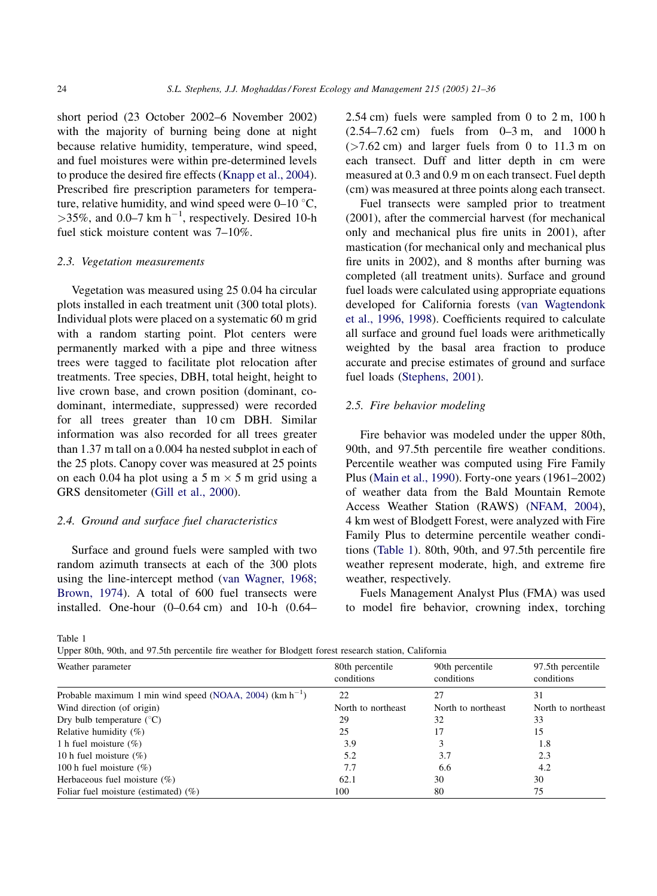short period (23 October 2002–6 November 2002) with the majority of burning being done at night because relative humidity, temperature, wind speed, and fuel moistures were within pre-determined levels to produce the desired fire effects [\(Knapp et al., 2004\)](#page-14-0). Prescribed fire prescription parameters for temperature, relative humidity, and wind speed were  $0-10$  °C,  $>$ 35%, and 0.0–7 km h<sup>-1</sup>, respectively. Desired 10-h fuel stick moisture content was 7–10%.

#### 2.3. Vegetation measurements

Vegetation was measured using 25 0.04 ha circular plots installed in each treatment unit (300 total plots). Individual plots were placed on a systematic 60 m grid with a random starting point. Plot centers were permanently marked with a pipe and three witness trees were tagged to facilitate plot relocation after treatments. Tree species, DBH, total height, height to live crown base, and crown position (dominant, codominant, intermediate, suppressed) were recorded for all trees greater than 10 cm DBH. Similar information was also recorded for all trees greater than 1.37 m tall on a 0.004 ha nested subplot in each of the 25 plots. Canopy cover was measured at 25 points on each 0.04 ha plot using a  $5 \text{ m} \times 5 \text{ m}$  grid using a GRS densitometer ([Gill et al., 2000\)](#page-14-0).

# 2.4. Ground and surface fuel characteristics

Surface and ground fuels were sampled with two random azimuth transects at each of the 300 plots using the line-intercept method [\(van Wagner, 1968;](#page-15-0) [Brown, 1974\)](#page-15-0). A total of 600 fuel transects were installed. One-hour (0–0.64 cm) and 10-h (0.64– 2.54 cm) fuels were sampled from 0 to 2 m, 100 h (2.54–7.62 cm) fuels from 0–3 m, and 1000 h  $($ >7.62 cm) and larger fuels from 0 to 11.3 m on each transect. Duff and litter depth in cm were measured at 0.3 and 0.9 m on each transect. Fuel depth (cm) was measured at three points along each transect.

Fuel transects were sampled prior to treatment (2001), after the commercial harvest (for mechanical only and mechanical plus fire units in 2001), after mastication (for mechanical only and mechanical plus fire units in 2002), and 8 months after burning was completed (all treatment units). Surface and ground fuel loads were calculated using appropriate equations developed for California forests ([van Wagtendonk](#page-15-0) [et al., 1996, 1998\)](#page-15-0). Coefficients required to calculate all surface and ground fuel loads were arithmetically weighted by the basal area fraction to produce accurate and precise estimates of ground and surface fuel loads [\(Stephens, 2001](#page-15-0)).

## 2.5. Fire behavior modeling

Fire behavior was modeled under the upper 80th, 90th, and 97.5th percentile fire weather conditions. Percentile weather was computed using Fire Family Plus [\(Main et al., 1990](#page-14-0)). Forty-one years (1961–2002) of weather data from the Bald Mountain Remote Access Weather Station (RAWS) [\(NFAM, 2004\)](#page-14-0), 4 km west of Blodgett Forest, were analyzed with Fire Family Plus to determine percentile weather conditions (Table 1). 80th, 90th, and 97.5th percentile fire weather represent moderate, high, and extreme fire weather, respectively.

Fuels Management Analyst Plus (FMA) was used to model fire behavior, crowning index, torching

Table 1

Upper 80th, 90th, and 97.5th percentile fire weather for Blodgett forest research station, California

| Weather parameter                                            | 80th percentile<br>conditions | 90th percentile<br>conditions | 97.5th percentile<br>conditions |  |
|--------------------------------------------------------------|-------------------------------|-------------------------------|---------------------------------|--|
| Probable maximum 1 min wind speed (NOAA, 2004) $(km h^{-1})$ | 22                            | 27                            | 31                              |  |
| Wind direction (of origin)                                   | North to northeast            | North to northeast            | North to northeast              |  |
| Dry bulb temperature $(^{\circ}C)$                           | 29                            | 32                            | 33                              |  |
| Relative humidity $(\%)$                                     | 25                            | 17                            | 15                              |  |
| 1 h fuel moisture $(\%)$                                     | 3.9                           |                               | 1.8                             |  |
| 10 h fuel moisture $(\%)$                                    | 5.2                           | 3.7                           | 2.3                             |  |
| 100 h fuel moisture $(\% )$                                  | 7.7                           | 6.6                           | 4.2                             |  |
| Herbaceous fuel moisture $(\%)$                              | 62.1                          | 30                            | 30                              |  |
| Foliar fuel moisture (estimated) $(\%)$                      | 100                           | 80                            | 75                              |  |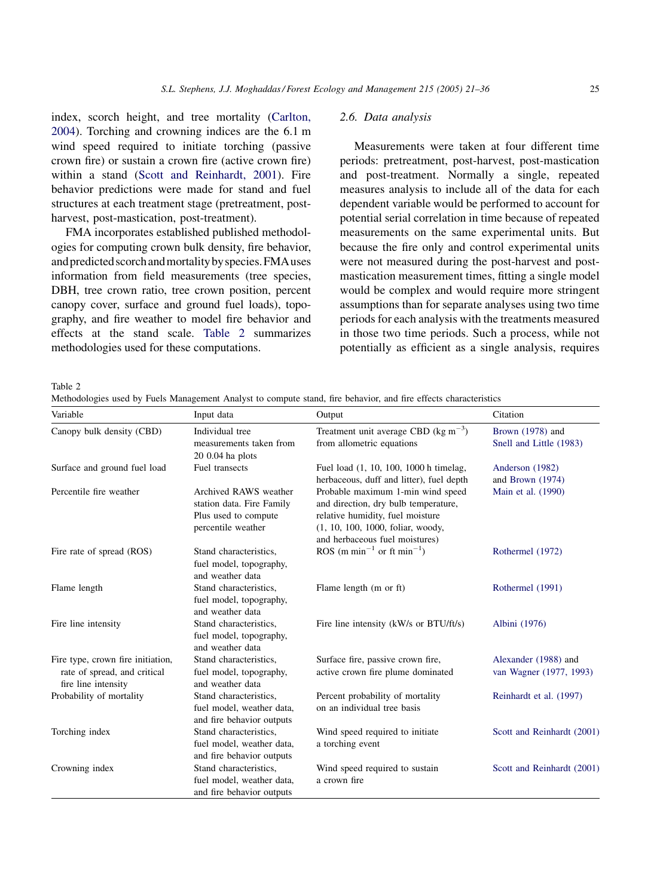index, scorch height, and tree mortality [\(Carlton,](#page-13-0) [2004](#page-13-0)). Torching and crowning indices are the 6.1 m wind speed required to initiate torching (passive crown fire) or sustain a crown fire (active crown fire) within a stand ([Scott and Reinhardt, 2001\)](#page-14-0). Fire behavior predictions were made for stand and fuel structures at each treatment stage (pretreatment, postharvest, post-mastication, post-treatment).

FMA incorporates established published methodologies for computing crown bulk density, fire behavior, and predicted scorch and mortality by species. FMA uses information from field measurements (tree species, DBH, tree crown ratio, tree crown position, percent canopy cover, surface and ground fuel loads), topography, and fire weather to model fire behavior and effects at the stand scale. Table 2 summarizes methodologies used for these computations.

# 2.6. Data analysis

Measurements were taken at four different time periods: pretreatment, post-harvest, post-mastication and post-treatment. Normally a single, repeated measures analysis to include all of the data for each dependent variable would be performed to account for potential serial correlation in time because of repeated measurements on the same experimental units. But because the fire only and control experimental units were not measured during the post-harvest and postmastication measurement times, fitting a single model would be complex and would require more stringent assumptions than for separate analyses using two time periods for each analysis with the treatments measured in those two time periods. Such a process, while not potentially as efficient as a single analysis, requires

Table 2

Methodologies used by Fuels Management Analyst to compute stand, fire behavior, and fire effects characteristics

| Variable                                                                                 | Input data                                                                                       | Output                                                                                                                                                                               | Citation                                        |
|------------------------------------------------------------------------------------------|--------------------------------------------------------------------------------------------------|--------------------------------------------------------------------------------------------------------------------------------------------------------------------------------------|-------------------------------------------------|
| Canopy bulk density (CBD)                                                                | Individual tree<br>measurements taken from<br>$200.04$ ha plots                                  | Treatment unit average CBD ( $\text{kg m}^{-3}$ )<br>from allometric equations                                                                                                       | Brown (1978) and<br>Snell and Little (1983)     |
| Surface and ground fuel load                                                             | Fuel transects                                                                                   | Fuel load (1, 10, 100, 1000 h timelag,<br>herbaceous, duff and litter), fuel depth                                                                                                   | Anderson (1982)<br>and Brown $(1974)$           |
| Percentile fire weather                                                                  | Archived RAWS weather<br>station data. Fire Family<br>Plus used to compute<br>percentile weather | Probable maximum 1-min wind speed<br>and direction, dry bulb temperature,<br>relative humidity, fuel moisture<br>(1, 10, 100, 1000, foliar, woody,<br>and herbaceous fuel moistures) | Main et al. (1990)                              |
| Fire rate of spread (ROS)                                                                | Stand characteristics,<br>fuel model, topography,<br>and weather data                            | ROS (m min <sup>-1</sup> or ft min <sup>-1</sup> )                                                                                                                                   | Rothermel (1972)                                |
| Flame length                                                                             | Stand characteristics,<br>fuel model, topography,<br>and weather data                            | Flame length (m or ft)                                                                                                                                                               | Rothermel (1991)                                |
| Fire line intensity                                                                      | Stand characteristics,<br>fuel model, topography,<br>and weather data                            | Fire line intensity (kW/s or BTU/ft/s)                                                                                                                                               | Albini (1976)                                   |
| Fire type, crown fire initiation,<br>rate of spread, and critical<br>fire line intensity | Stand characteristics,<br>fuel model, topography,<br>and weather data                            | Surface fire, passive crown fire,<br>active crown fire plume dominated                                                                                                               | Alexander (1988) and<br>van Wagner (1977, 1993) |
| Probability of mortality                                                                 | Stand characteristics,<br>fuel model, weather data,<br>and fire behavior outputs                 | Percent probability of mortality<br>on an individual tree basis                                                                                                                      | Reinhardt et al. (1997)                         |
| Torching index                                                                           | Stand characteristics.<br>fuel model, weather data,<br>and fire behavior outputs                 | Wind speed required to initiate<br>a torching event                                                                                                                                  | Scott and Reinhardt (2001)                      |
| Crowning index                                                                           | Stand characteristics,<br>fuel model, weather data,<br>and fire behavior outputs                 | Wind speed required to sustain<br>a crown fire                                                                                                                                       | Scott and Reinhardt (2001)                      |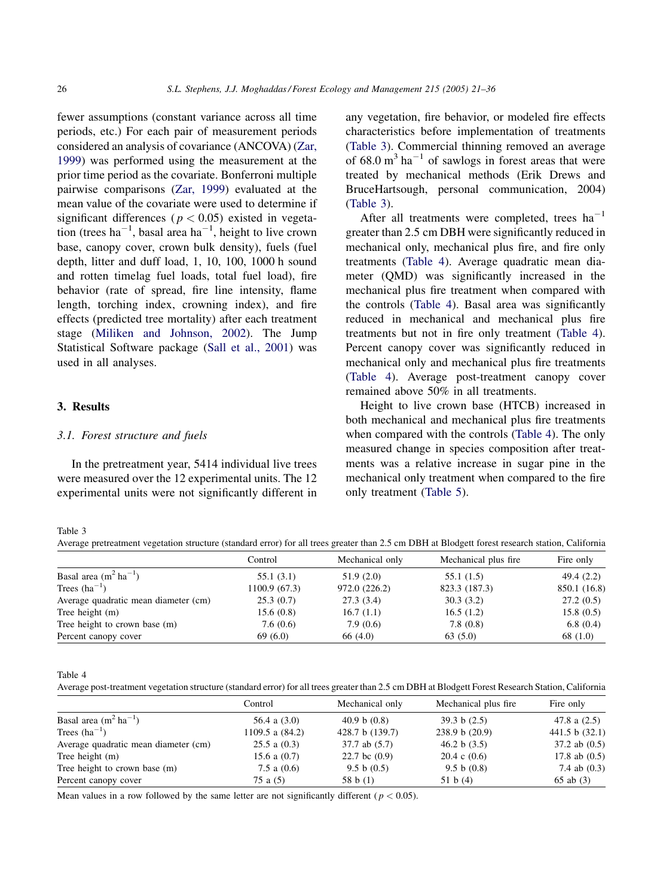<span id="page-5-0"></span>fewer assumptions (constant variance across all time periods, etc.) For each pair of measurement periods considered an analysis of covariance (ANCOVA) ([Zar,](#page-15-0) [1999](#page-15-0)) was performed using the measurement at the prior time period as the covariate. Bonferroni multiple pairwise comparisons [\(Zar, 1999](#page-15-0)) evaluated at the mean value of the covariate were used to determine if significant differences ( $p < 0.05$ ) existed in vegetation (trees  $ha^{-1}$ , basal area  $ha^{-1}$ , height to live crown base, canopy cover, crown bulk density), fuels (fuel depth, litter and duff load, 1, 10, 100, 1000 h sound and rotten timelag fuel loads, total fuel load), fire behavior (rate of spread, fire line intensity, flame length, torching index, crowning index), and fire effects (predicted tree mortality) after each treatment stage [\(Miliken and Johnson, 2002\)](#page-14-0). The Jump Statistical Software package ([Sall et al., 2001\)](#page-14-0) was used in all analyses.

# 3. Results

### 3.1. Forest structure and fuels

In the pretreatment year, 5414 individual live trees were measured over the 12 experimental units. The 12 experimental units were not significantly different in any vegetation, fire behavior, or modeled fire effects characteristics before implementation of treatments (Table 3). Commercial thinning removed an average of  $68.0 \text{ m}^3 \text{ ha}^{-1}$  of sawlogs in forest areas that were treated by mechanical methods (Erik Drews and BruceHartsough, personal communication, 2004) (Table 3).

After all treatments were completed, trees  $ha^{-1}$ greater than 2.5 cm DBH were significantly reduced in mechanical only, mechanical plus fire, and fire only treatments (Table 4). Average quadratic mean diameter (QMD) was significantly increased in the mechanical plus fire treatment when compared with the controls (Table 4). Basal area was significantly reduced in mechanical and mechanical plus fire treatments but not in fire only treatment (Table 4). Percent canopy cover was significantly reduced in mechanical only and mechanical plus fire treatments (Table 4). Average post-treatment canopy cover remained above 50% in all treatments.

Height to live crown base (HTCB) increased in both mechanical and mechanical plus fire treatments when compared with the controls (Table 4). The only measured change in species composition after treatments was a relative increase in sugar pine in the mechanical only treatment when compared to the fire only treatment [\(Table 5\)](#page-6-0).

Table 3

Average pretreatment vegetation structure (standard error) for all trees greater than 2.5 cm DBH at Blodgett forest research station, California

|                                      | Control       | Mechanical only | Mechanical plus fire | Fire only    |
|--------------------------------------|---------------|-----------------|----------------------|--------------|
| Basal area $(m^2 \text{ ha}^{-1})$   | 55.1(3.1)     | 51.9(2.0)       | 55.1(1.5)            | 49.4(2.2)    |
| Trees $(ha^{-1})$                    | 1100.9 (67.3) | 972.0 (226.2)   | 823.3 (187.3)        | 850.1 (16.8) |
| Average quadratic mean diameter (cm) | 25.3(0.7)     | 27.3(3.4)       | 30.3(3.2)            | 27.2(0.5)    |
| Tree height $(m)$                    | 15.6(0.8)     | 16.7(1.1)       | 16.5(1.2)            | 15.8(0.5)    |
| Tree height to crown base (m)        | 7.6(0.6)      | 7.9(0.6)        | 7.8(0.8)             | 6.8(0.4)     |
| Percent canopy cover                 | 69(6.0)       | 66 (4.0)        | 63(5.0)              | 68 (1.0)     |

Table 4

| Average post-treatment vegetation structure (standard error) for all trees greater than 2.5 cm DBH at Blodgett Forest Research Station, California |  |  |  |
|----------------------------------------------------------------------------------------------------------------------------------------------------|--|--|--|
|----------------------------------------------------------------------------------------------------------------------------------------------------|--|--|--|

|                                      | Control          | Mechanical only | Mechanical plus fire    | Fire only         |
|--------------------------------------|------------------|-----------------|-------------------------|-------------------|
| Basal area $(m^2 \text{ ha}^{-1})$   | 56.4 a $(3.0)$   | 40.9 b $(0.8)$  | 39.3 b $(2.5)$          | 47.8 a $(2.5)$    |
| Trees $(ha^{-1})$                    | 1109.5 a (84.2)  | 428.7 b (139.7) | 238.9 b (20.9)          | 441.5 b $(32.1)$  |
| Average quadratic mean diameter (cm) | $25.5$ a $(0.3)$ | 37.7 ab (5.7)   | 46.2 b $(3.5)$          | $37.2$ ab $(0.5)$ |
| Tree height $(m)$                    | 15.6 a $(0.7)$   | 22.7 bc $(0.9)$ | $20.4 \text{ c } (0.6)$ | 17.8 ab $(0.5)$   |
| Tree height to crown base (m)        | 7.5 a $(0.6)$    | 9.5 b $(0.5)$   | 9.5 b (0.8)             | 7.4 ab $(0.3)$    |
| Percent canopy cover                 | 75 a (5)         | 58 b $(1)$      | 51 b $(4)$              | $65$ ab $(3)$     |

Mean values in a row followed by the same letter are not significantly different ( $p < 0.05$ ).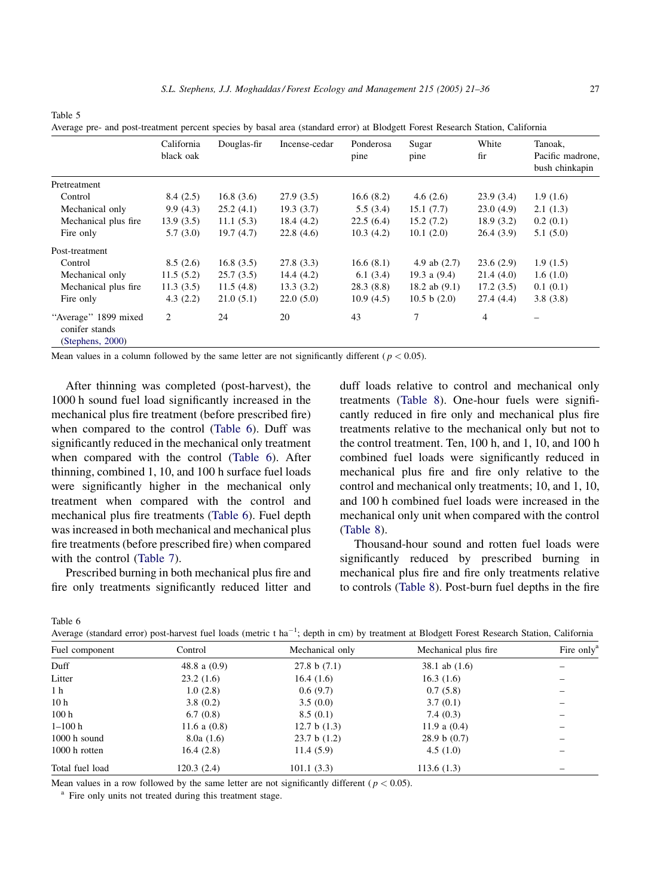Tanoak, Pacific madrone, bush chinkapin

California black oak Douglas-fir Incense-cedar Ponderosa pine Sugar pine White fir Pretreatment Control 8.4 (2.5) 16.8 (3.6) 27.9 (3.5) 16.6 (8.2) 4.6 (2.6) 23.9 (3.4) 1.9 (1.6) Mechanical only 9.9 (4.3) 25.2 (4.1) 19.3 (3.7) 5.5 (3.4) 15.1 (7.7) 23.0 (4.9) 2.1 (1.3) Mechanical plus fire 13.9 (3.5) 11.1 (5.3) 18.4 (4.2) 22.5 (6.4) 15.2 (7.2) 18.9 (3.2) 0.2 (0.1) Fire only 5.7 (3.0) 19.7 (4.7) 22.8 (4.6) 10.3 (4.2) 10.1 (2.0) 26.4 (3.9) 5.1 (5.0) Post-treatment Control 8.5 (2.6) 16.8 (3.5) 27.8 (3.3) 16.6 (8.1) 4.9 ab (2.7) 23.6 (2.9) 1.9 (1.5) Mechanical only 11.5 (5.2) 25.7 (3.5) 14.4 (4.2) 6.1 (3.4) 19.3 a (9.4) 21.4 (4.0) 1.6 (1.0) Mechanical plus fire 11.3 (3.5) 11.5 (4.8) 13.3 (3.2) 28.3 (8.8) 18.2 ab (9.1) 17.2 (3.5) 0.1 (0.1)

Average pre- and post-treatment percent species by basal area (standard error) at Blodgett Forest Research Station, California

Fire only 4.3 (2.2) 21.0 (5.1) 22.0 (5.0) 10.9 (4.5) 10.5 b (2.0) 27.4 (4.4) 3.8 (3.8)

2 24 20 43 7 4 –

Mean values in a column followed by the same letter are not significantly different ( $p < 0.05$ ).

After thinning was completed (post-harvest), the 1000 h sound fuel load significantly increased in the mechanical plus fire treatment (before prescribed fire) when compared to the control (Table 6). Duff was significantly reduced in the mechanical only treatment when compared with the control (Table 6). After thinning, combined 1, 10, and 100 h surface fuel loads were significantly higher in the mechanical only treatment when compared with the control and mechanical plus fire treatments (Table 6). Fuel depth was increased in both mechanical and mechanical plus fire treatments (before prescribed fire) when compared with the control [\(Table 7\)](#page-7-0).

Prescribed burning in both mechanical plus fire and fire only treatments significantly reduced litter and

duff loads relative to control and mechanical only treatments [\(Table 8](#page-7-0)). One-hour fuels were significantly reduced in fire only and mechanical plus fire treatments relative to the mechanical only but not to the control treatment. Ten, 100 h, and 1, 10, and 100 h combined fuel loads were significantly reduced in mechanical plus fire and fire only relative to the control and mechanical only treatments; 10, and 1, 10, and 100 h combined fuel loads were increased in the mechanical only unit when compared with the control ([Table 8](#page-7-0)).

Thousand-hour sound and rotten fuel loads were significantly reduced by prescribed burning in mechanical plus fire and fire only treatments relative to controls ([Table 8\)](#page-7-0). Post-burn fuel depths in the fire

Table 6

<span id="page-6-0"></span>Table 5

"Average" 1899 mixed conifer stands [\(Stephens, 2000](#page-15-0))

|  | Average (standard error) post-harvest fuel loads (metric t ha <sup>-1</sup> ; depth in cm) by treatment at Blodgett Forest Research Station, California |
|--|---------------------------------------------------------------------------------------------------------------------------------------------------------|
|--|---------------------------------------------------------------------------------------------------------------------------------------------------------|

| Fuel component   | Control        | Mechanical only | Mechanical plus fire | Fire only <sup>a</sup> |
|------------------|----------------|-----------------|----------------------|------------------------|
| Duff             | 48.8 a $(0.9)$ | 27.8 b (7.1)    | 38.1 ab $(1.6)$      |                        |
| Litter           | 23.2(1.6)      | 16.4(1.6)       | 16.3(1.6)            |                        |
| 1 <sub>h</sub>   | 1.0(2.8)       | 0.6(9.7)        | 0.7(5.8)             |                        |
| 10 <sub>h</sub>  | 3.8(0.2)       | 3.5(0.0)        | 3.7(0.1)             |                        |
| 100 <sub>h</sub> | 6.7(0.8)       | 8.5(0.1)        | 7.4(0.3)             |                        |
| $1 - 100h$       | 11.6 a $(0.8)$ | 12.7 b $(1.3)$  | 11.9 a $(0.4)$       |                        |
| $1000$ h sound   | 8.0a(1.6)      | 23.7 b(1.2)     | 28.9 b (0.7)         |                        |
| 1000 h rotten    | 16.4(2.8)      | 11.4(5.9)       | 4.5(1.0)             |                        |
| Total fuel load  | 120.3(2.4)     | 101.1(3.3)      | 113.6(1.3)           |                        |

Mean values in a row followed by the same letter are not significantly different ( $p < 0.05$ ).

<sup>a</sup> Fire only units not treated during this treatment stage.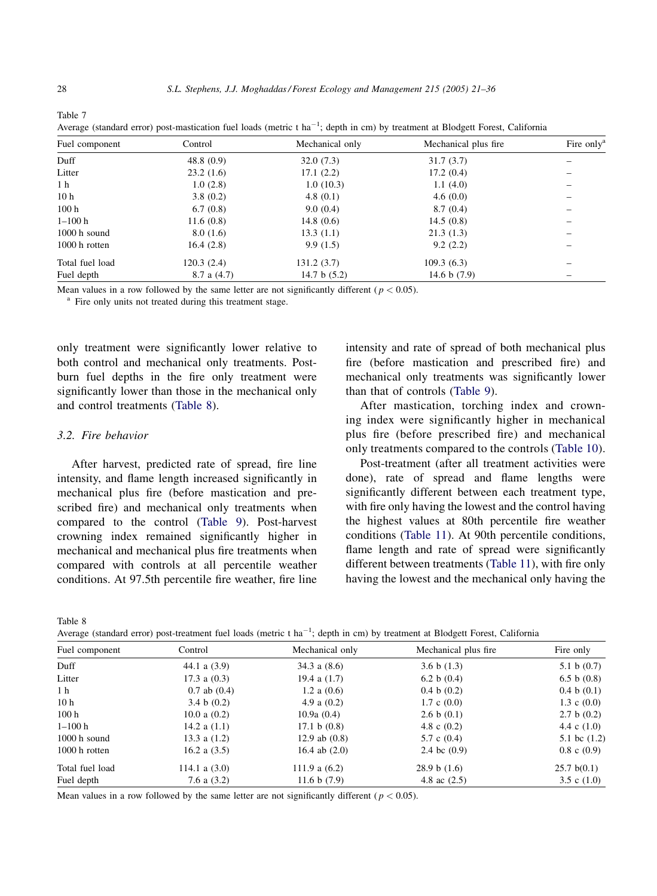| Fuel component   | Control         | Mechanical only | Mechanical plus fire. | Fire only <sup>a</sup> |
|------------------|-----------------|-----------------|-----------------------|------------------------|
| Duff             | 48.8(0.9)       | 32.0(7.3)       | 31.7(3.7)             |                        |
| Litter           | 23.2(1.6)       | 17.1(2.2)       | 17.2(0.4)             |                        |
| 1 <sub>h</sub>   | 1.0(2.8)        | 1.0(10.3)       | 1.1(4.0)              |                        |
| 10 <sub>h</sub>  | 3.8(0.2)        | 4.8(0.1)        | 4.6(0.0)              |                        |
| 100 <sub>h</sub> | 6.7(0.8)        | 9.0(0.4)        | 8.7(0.4)              |                        |
| $1 - 100h$       | 11.6(0.8)       | 14.8(0.6)       | 14.5(0.8)             |                        |
| $1000$ h sound   | 8.0(1.6)        | 13.3(1.1)       | 21.3(1.3)             |                        |
| 1000 h rotten    | 16.4(2.8)       | 9.9(1.5)        | 9.2(2.2)              |                        |
| Total fuel load  | 120.3(2.4)      | 131.2(3.7)      | 109.3(6.3)            |                        |
| Fuel depth       | $8.7$ a $(4.7)$ | 14.7 b $(5.2)$  | 14.6 b $(7.9)$        |                        |

|  |  |  | Average (standard error) post-mastication fuel loads (metric t ha <sup>-1</sup> ; depth in cm) by treatment at Blodgett Forest, California |  |  |  |  |  |  |  |  |
|--|--|--|--------------------------------------------------------------------------------------------------------------------------------------------|--|--|--|--|--|--|--|--|
|--|--|--|--------------------------------------------------------------------------------------------------------------------------------------------|--|--|--|--|--|--|--|--|

Mean values in a row followed by the same letter are not significantly different ( $p < 0.05$ ).

<sup>a</sup> Fire only units not treated during this treatment stage.

only treatment were significantly lower relative to both control and mechanical only treatments. Postburn fuel depths in the fire only treatment were significantly lower than those in the mechanical only and control treatments (Table 8).

# 3.2. Fire behavior

After harvest, predicted rate of spread, fire line intensity, and flame length increased significantly in mechanical plus fire (before mastication and prescribed fire) and mechanical only treatments when compared to the control ([Table 9\)](#page-8-0). Post-harvest crowning index remained significantly higher in mechanical and mechanical plus fire treatments when compared with controls at all percentile weather conditions. At 97.5th percentile fire weather, fire line intensity and rate of spread of both mechanical plus fire (before mastication and prescribed fire) and mechanical only treatments was significantly lower than that of controls [\(Table 9](#page-8-0)).

After mastication, torching index and crowning index were significantly higher in mechanical plus fire (before prescribed fire) and mechanical only treatments compared to the controls [\(Table 10\)](#page-8-0).

Post-treatment (after all treatment activities were done), rate of spread and flame lengths were significantly different between each treatment type, with fire only having the lowest and the control having the highest values at 80th percentile fire weather conditions ([Table 11\)](#page-9-0). At 90th percentile conditions, flame length and rate of spread were significantly different between treatments [\(Table 11](#page-9-0)), with fire only having the lowest and the mechanical only having the

Table 8

| Average (standard error) post-treatment fuel loads (metric t ha <sup>-1</sup> ; depth in cm) by treatment at Blodgett Forest, California |  |  |  |
|------------------------------------------------------------------------------------------------------------------------------------------|--|--|--|
|------------------------------------------------------------------------------------------------------------------------------------------|--|--|--|

| Fuel component   | Control          | Mechanical only | Mechanical plus fire   | Fire only      |
|------------------|------------------|-----------------|------------------------|----------------|
| Duff             | 44.1 a $(3.9)$   | 34.3 a $(8.6)$  | 3.6 b $(1.3)$          | 5.1 b $(0.7)$  |
| Litter           | $17.3$ a $(0.3)$ | 19.4 a $(1.7)$  | 6.2 b $(0.4)$          | 6.5 b $(0.8)$  |
| 1 <sub>h</sub>   | $0.7$ ab $(0.4)$ | 1.2 a $(0.6)$   | 0.4 b(0.2)             | 0.4 b(0.1)     |
| 10 <sub>h</sub>  | 3.4 b $(0.2)$    | 4.9 a $(0.2)$   | $1.7 \text{ c } (0.0)$ | 1.3 c $(0.0)$  |
| 100 <sub>h</sub> | 10.0 a $(0.2)$   | 10.9a(0.4)      | 2.6 b (0.1)            | 2.7 b (0.2)    |
| $1 - 100h$       | 14.2 a $(1.1)$   | 17.1 b $(0.8)$  | 4.8 c $(0.2)$          | 4.4 c $(1.0)$  |
| $1000$ h sound   | 13.3 a $(1.2)$   | 12.9 ab $(0.8)$ | 5.7 c $(0.4)$          | 5.1 bc $(1.2)$ |
| 1000 h rotten    | 16.2 a $(3.5)$   | 16.4 ab $(2.0)$ | 2.4 bc $(0.9)$         | $0.8 \c(0.9)$  |
| Total fuel load  | 114.1 a $(3.0)$  | 111.9 a $(6.2)$ | 28.9 b(1.6)            | 25.7 b(0.1)    |
| Fuel depth       | 7.6 a $(3.2)$    | 11.6 b $(7.9)$  | 4.8 ac $(2.5)$         | 3.5 c $(1.0)$  |

Mean values in a row followed by the same letter are not significantly different ( $p < 0.05$ ).

<span id="page-7-0"></span>Table 7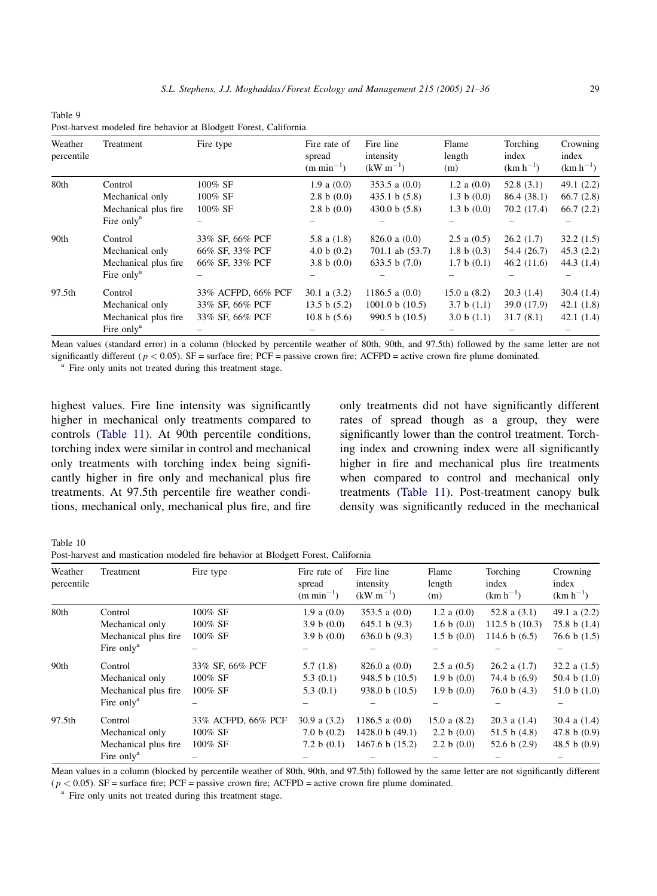<span id="page-8-0"></span>Table 0 Post-harvest modeled fire behavior at Blodgett Forest, California

| Weather<br>percentile | Treatment              | Fire type          | Fire rate of<br>spread<br>$(m \text{ min}^{-1})$ | Fire line<br>intensity<br>$(kW m^{-1})$ | Flame<br>length<br>(m) | Torching<br>index<br>$(km h^{-1})$ | Crowning<br>index<br>$(km h^{-1})$ |
|-----------------------|------------------------|--------------------|--------------------------------------------------|-----------------------------------------|------------------------|------------------------------------|------------------------------------|
| 80th                  | Control                | 100% SF            | 1.9 a (0.0)                                      | 353.5 a $(0.0)$                         | $1.2$ a $(0.0)$        | 52.8(3.1)                          | 49.1(2.2)                          |
|                       | Mechanical only        | 100% SF            | 2.8 b (0.0)                                      | 435.1 b(5.8)                            | 1.3 b $(0.0)$          | 86.4 (38.1)                        | 66.7(2.8)                          |
|                       | Mechanical plus fire   | 100% SF            | 2.8 b (0.0)                                      | 430.0 b(5.8)                            | 1.3 b(0.0)             | 70.2 (17.4)                        | 66.7(2.2)                          |
|                       | Fire only <sup>a</sup> |                    |                                                  |                                         |                        |                                    |                                    |
| 90th                  | Control                | 33% SF, 66% PCF    | 5.8 a $(1.8)$                                    | $826.0$ a $(0.0)$                       | $2.5$ a $(0.5)$        | 26.2(1.7)                          | 32.2(1.5)                          |
|                       | Mechanical only        | 66% SF, 33% PCF    | 4.0 b $(0.2)$                                    | 701.1 ab (53.7)                         | 1.8 b (0.3)            | 54.4 (26.7)                        | 45.3(2.2)                          |
|                       | Mechanical plus fire   | 66% SF, 33% PCF    | 3.8 b $(0.0)$                                    | 633.5 b $(7.0)$                         | 1.7 b(0.1)             | 46.2(11.6)                         | 44.3(1.4)                          |
|                       | Fire only <sup>a</sup> |                    |                                                  |                                         |                        |                                    |                                    |
| 97.5th                | Control                | 33% ACFPD, 66% PCF | 30.1 a $(3.2)$                                   | 1186.5 a $(0.0)$                        | 15.0 a (8.2)           | 20.3(1.4)                          | 30.4(1.4)                          |
|                       | Mechanical only        | 33% SF, 66% PCF    | 13.5 b $(5.2)$                                   | 1001.0 b(10.5)                          | 3.7 b(1.1)             | 39.0 (17.9)                        | 42.1(1.8)                          |
|                       | Mechanical plus fire   | 33% SF, 66% PCF    | 10.8 b(5.6)                                      | 990.5 b (10.5)                          | 3.0 b(1.1)             | 31.7(8.1)                          | 42.1(1.4)                          |
|                       | Fire only <sup>a</sup> |                    |                                                  |                                         |                        |                                    |                                    |

Mean values (standard error) in a column (blocked by percentile weather of 80th, 90th, and 97.5th) followed by the same letter are not significantly different ( $p < 0.05$ ). SF = surface fire; PCF = passive crown fire; ACFPD = active crown fire plume dominated. <sup>a</sup> Fire only units not treated during this treatment stage.

highest values. Fire line intensity was significantly higher in mechanical only treatments compared to controls [\(Table 11](#page-9-0)). At 90th percentile conditions, torching index were similar in control and mechanical only treatments with torching index being significantly higher in fire only and mechanical plus fire treatments. At 97.5th percentile fire weather conditions, mechanical only, mechanical plus fire, and fire only treatments did not have significantly different rates of spread though as a group, they were significantly lower than the control treatment. Torching index and crowning index were all significantly higher in fire and mechanical plus fire treatments when compared to control and mechanical only treatments [\(Table 11\)](#page-9-0). Post-treatment canopy bulk density was significantly reduced in the mechanical

Table 10

Post-harvest and mastication modeled fire behavior at Blodgett Forest, California

| Weather<br>percentile | Treatment                                                                    | Fire type                                | Fire rate of<br>spread<br>$(m \text{ min}^{-1})$ | Fire line<br>intensity<br>$(kW m^{-1})$                 | Flame<br>length<br>(m)                           | Torching<br>index<br>$(km h^{-1})$                   | Crowning<br>index<br>$(km h^{-1})$                 |
|-----------------------|------------------------------------------------------------------------------|------------------------------------------|--------------------------------------------------|---------------------------------------------------------|--------------------------------------------------|------------------------------------------------------|----------------------------------------------------|
| 80th                  | Control                                                                      | 100% SF                                  | 1.9 a (0.0)                                      | 353.5 a $(0.0)$                                         | 1.2 a $(0.0)$                                    | 52.8 a $(3.1)$                                       | 49.1 a $(2.2)$                                     |
|                       | Mechanical only<br>Mechanical plus fire<br>Fire only <sup>a</sup>            | 100% SF<br>100% SF                       | 3.9 b (0.0)<br>3.9 b (0.0)                       | 645.1 b(9.3)<br>636.0 b (9.3)                           | 1.6 b $(0.0)$<br>1.5 b(0.0)                      | 112.5 b $(10.3)$<br>114.6 b $(6.5)$                  | 75.8 b $(1.4)$<br>76.6 b $(1.5)$                   |
| 90th                  | Control<br>Mechanical only<br>Mechanical plus fire<br>Fire only <sup>a</sup> | 33% SF, 66% PCF<br>100% SF<br>100% SF    | 5.7(1.8)<br>5.3(0.1)<br>5.3(0.1)                 | $826.0$ a $(0.0)$<br>948.5 b(10.5)<br>938.0 b $(10.5)$  | $2.5$ a $(0.5)$<br>1.9 b (0.0)<br>1.9 b(0.0)     | $26.2$ a $(1.7)$<br>74.4 b (6.9)<br>76.0 b(4.3)      | 32.2 a $(1.5)$<br>50.4 b $(1.0)$<br>51.0 b $(1.0)$ |
| 97.5th                | Control<br>Mechanical only<br>Mechanical plus fire<br>Fire only <sup>a</sup> | 33% ACFPD, 66% PCF<br>100% SF<br>100% SF | 30.9 a $(3.2)$<br>7.0 b (0.2)<br>7.2 b $(0.1)$   | 1186.5 a $(0.0)$<br>1428.0 b(49.1)<br>1467.6 b $(15.2)$ | 15.0 a $(8.2)$<br>2.2 b $(0.0)$<br>2.2 b $(0.0)$ | $20.3$ a $(1.4)$<br>51.5 b $(4.8)$<br>52.6 b $(2.9)$ | 30.4 a $(1.4)$<br>47.8 b $(0.9)$<br>48.5 b $(0.9)$ |

Mean values in a column (blocked by percentile weather of 80th, 90th, and 97.5th) followed by the same letter are not significantly different  $(p < 0.05)$ . SF = surface fire; PCF = passive crown fire; ACFPD = active crown fire plume dominated.  $a$  Fire only units not treated during this treatment stage.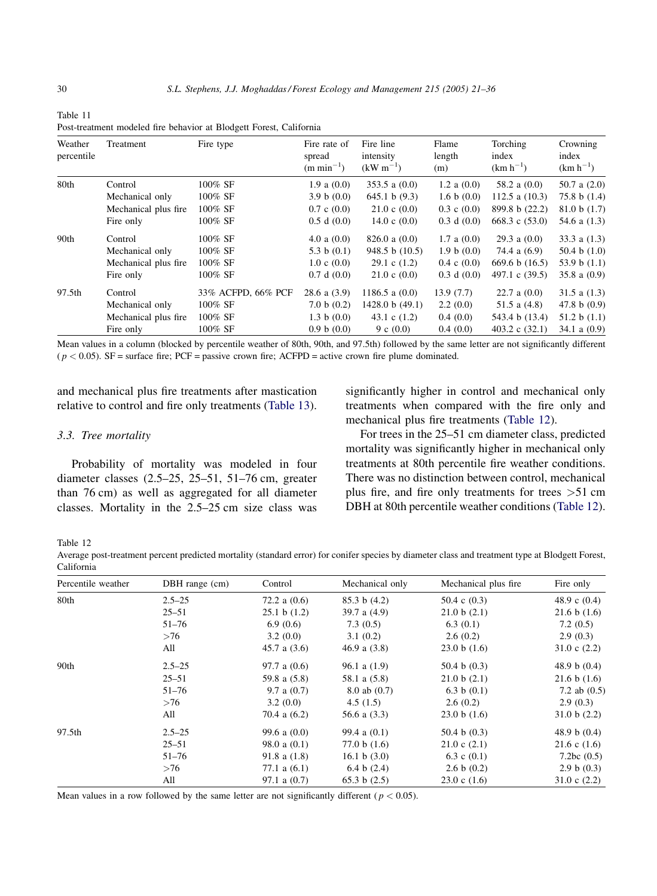<span id="page-9-0"></span>

| Table 11                                                            |  |  |
|---------------------------------------------------------------------|--|--|
| Post-treatment modeled fire behavior at Blodgett Forest, California |  |  |

| Weather<br>percentile | Treatment            | Fire type          | Fire rate of<br>spread<br>$(m \text{ min}^{-1})$ | Fire line<br>intensity<br>$(kW m^{-1})$ | Flame<br>length<br>(m) | Torching<br>index<br>$(km h^{-1})$ | Crowning<br>index<br>$(km h^{-1})$ |
|-----------------------|----------------------|--------------------|--------------------------------------------------|-----------------------------------------|------------------------|------------------------------------|------------------------------------|
| 80th                  | Control              | 100% SF            | 1.9 a (0.0)                                      | 353.5 a $(0.0)$                         | 1.2 a $(0.0)$          | 58.2 a $(0.0)$                     | 50.7 a $(2.0)$                     |
|                       | Mechanical only      | 100% SF            | 3.9 b $(0.0)$                                    | 645.1 b(9.3)                            | 1.6 b(0.0)             | 112.5 a $(10.3)$                   | 75.8 b $(1.4)$                     |
|                       | Mechanical plus fire | 100% SF            | $0.7 \text{ c } (0.0)$                           | $21.0 \text{ c } (0.0)$                 | $0.3 \text{ c } (0.0)$ | 899.8 b (22.2)                     | 81.0 b $(1.7)$                     |
|                       | Fire only            | 100% SF            | 0.5 d(0.0)                                       | 14.0 c $(0.0)$                          | 0.3 d(0.0)             | $668.3 \text{ c } (53.0)$          | 54.6 a $(1.3)$                     |
| 90th                  | Control              | 100% SF            | 4.0 a $(0.0)$                                    | $826.0$ a $(0.0)$                       | $1.7$ a $(0.0)$        | $29.3$ a $(0.0)$                   | 33.3 a $(1.3)$                     |
|                       | Mechanical only      | 100% SF            | 5.3 b $(0.1)$                                    | 948.5 b (10.5)                          | 1.9 b(0.0)             | 74.4 a (6.9)                       | 50.4 b $(1.0)$                     |
|                       | Mechanical plus fire | 100% SF            | $1.0 \text{ c } (0.0)$                           | $29.1 \text{ c } (1.2)$                 | $0.4 \c(0.0)$          | 669.6 b $(16.5)$                   | 53.9 b $(1.1)$                     |
|                       | Fire only            | 100% SF            | 0.7 d(0.0)                                       | $21.0 \text{ c } (0.0)$                 | 0.3 d(0.0)             | 497.1 c (39.5)                     | 35.8 a $(0.9)$                     |
| 97.5th                | Control              | 33% ACFPD, 66% PCF | $28.6$ a $(3.9)$                                 | 1186.5 a $(0.0)$                        | 13.9(7.7)              | $22.7$ a $(0.0)$                   | 31.5 a $(1.3)$                     |
|                       | Mechanical only      | 100% SF            | 7.0 b (0.2)                                      | 1428.0 b (49.1)                         | 2.2(0.0)               | 51.5 a $(4.8)$                     | 47.8 b $(0.9)$                     |
|                       | Mechanical plus fire | 100% SF            | 1.3 b $(0.0)$                                    | 43.1 c $(1.2)$                          | 0.4(0.0)               | 543.4 b (13.4)                     | 51.2 b $(1.1)$                     |
|                       | Fire only            | 100% SF            | 0.9 b(0.0)                                       | 9 c $(0.0)$                             | 0.4(0.0)               | 403.2 c $(32.1)$                   | 34.1 a $(0.9)$                     |

Mean values in a column (blocked by percentile weather of 80th, 90th, and 97.5th) followed by the same letter are not significantly different  $(p < 0.05)$ . SF = surface fire; PCF = passive crown fire; ACFPD = active crown fire plume dominated.

and mechanical plus fire treatments after mastication relative to control and fire only treatments [\(Table 13\)](#page-10-0).

# 3.3. Tree mortality

Probability of mortality was modeled in four diameter classes (2.5–25, 25–51, 51–76 cm, greater than 76 cm) as well as aggregated for all diameter classes. Mortality in the 2.5–25 cm size class was significantly higher in control and mechanical only treatments when compared with the fire only and mechanical plus fire treatments (Table 12).

For trees in the 25–51 cm diameter class, predicted mortality was significantly higher in mechanical only treatments at 80th percentile fire weather conditions. There was no distinction between control, mechanical plus fire, and fire only treatments for trees >51 cm DBH at 80th percentile weather conditions (Table 12).

Table 12

Average post-treatment percent predicted mortality (standard error) for conifer species by diameter class and treatment type at Blodgett Forest, California

| Percentile weather | $DBH$ range $(cm)$ | Control          | Mechanical only  | Mechanical plus fire    | Fire only      |
|--------------------|--------------------|------------------|------------------|-------------------------|----------------|
| 80th               | $2.5 - 25$         | 72.2 a $(0.6)$   | 85.3 b(4.2)      | 50.4 c $(0.3)$          | 48.9 c $(0.4)$ |
|                    | $25 - 51$          | 25.1 b(1.2)      | 39.7 a $(4.9)$   | 21.0 b(2.1)             | 21.6 b (1.6)   |
|                    | $51 - 76$          | 6.9(0.6)         | 7.3(0.5)         | 6.3(0.1)                | 7.2(0.5)       |
|                    | >76                | 3.2(0.0)         | 3.1(0.2)         | 2.6(0.2)                | 2.9(0.3)       |
|                    | All                | 45.7 a $(3.6)$   | 46.9 a $(3.8)$   | 23.0 b(1.6)             | 31.0 c $(2.2)$ |
| 90th               | $2.5 - 25$         | 97.7 a $(0.6)$   | $96.1$ a $(1.9)$ | 50.4 b $(0.3)$          | 48.9 b $(0.4)$ |
|                    | $25 - 51$          | 59.8 a (5.8)     | 58.1 a (5.8)     | 21.0 b (2.1)            | 21.6 b (1.6)   |
|                    | $51 - 76$          | 9.7 a $(0.7)$    | $8.0$ ab $(0.7)$ | 6.3 b $(0.1)$           | 7.2 ab $(0.5)$ |
|                    | >76                | 3.2(0.0)         | 4.5(1.5)         | 2.6(0.2)                | 2.9(0.3)       |
|                    | All                | 70.4 a $(6.2)$   | 56.6 a $(3.3)$   | 23.0 b (1.6)            | 31.0 b(2.2)    |
| 97.5th             | $2.5 - 25$         | 99.6 a $(0.0)$   | 99.4 a $(0.1)$   | 50.4 b $(0.3)$          | 48.9 b $(0.4)$ |
|                    | $25 - 51$          | 98.0 a $(0.1)$   | 77.0 b $(1.6)$   | $21.0 \text{ c } (2.1)$ | 21.6 c $(1.6)$ |
|                    | $51 - 76$          | 91.8 a $(1.8)$   | 16.1 b $(3.0)$   | 6.3 c $(0.1)$           | 7.2bc $(0.5)$  |
|                    | >76                | 77.1 a $(6.1)$   | 6.4 b $(2.4)$    | 2.6 b $(0.2)$           | 2.9 b (0.3)    |
|                    | All                | $97.1$ a $(0.7)$ | 65.3 b(2.5)      | 23.0 c $(1.6)$          | 31.0 c $(2.2)$ |

Mean values in a row followed by the same letter are not significantly different ( $p < 0.05$ ).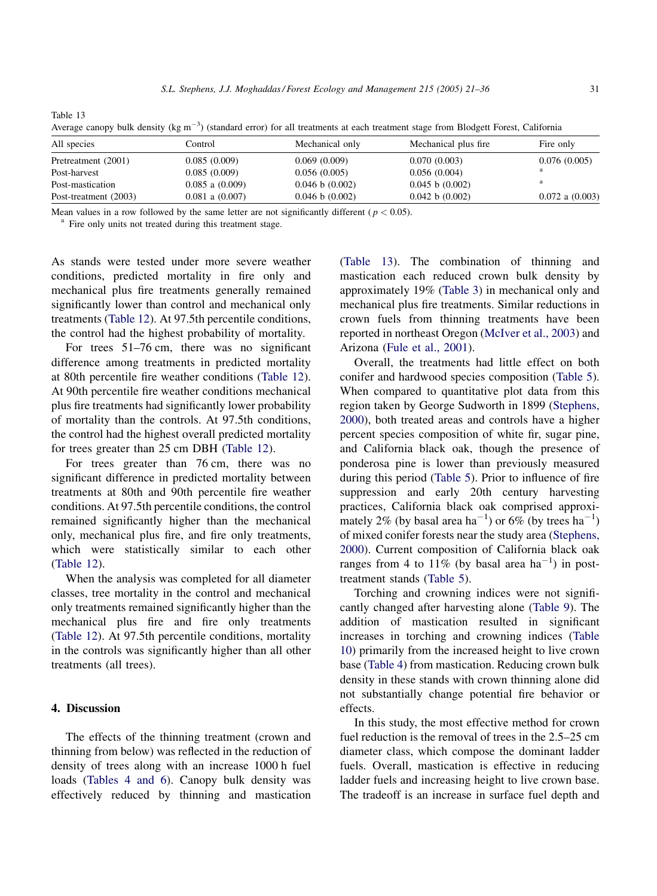All species **Control** Control Mechanical only Mechanical plus fire Fire only Pretreatment (2001) 0.085 (0.009) 0.069 (0.009) 0.070 (0.003) 0.076 (0.005) Post-harvest 0.085 (0.009) 0.056 (0.005) 0.056 (0.004) <sup>a</sup> Post-mastication 0.085 a (0.009) 0.046 b (0.002) 0.045 b (0.002) and 0.045 b (0.002) Post-treatment (2003) 0.081 a (0.007) 0.046 b (0.002) 0.042 b (0.002) 0.072 a (0.003)

Average canopy bulk density ( $\text{kg m}^{-3}$ ) (standard error) for all treatments at each treatment stage from Blodgett Forest, California

Mean values in a row followed by the same letter are not significantly different ( $p < 0.05$ ).<br><sup>a</sup> Fire only units not treated during this treatment stage.

<span id="page-10-0"></span>Table 13

As stands were tested under more severe weather conditions, predicted mortality in fire only and mechanical plus fire treatments generally remained significantly lower than control and mechanical only treatments ([Table 12](#page-9-0)). At 97.5th percentile conditions, the control had the highest probability of mortality.

For trees 51–76 cm, there was no significant difference among treatments in predicted mortality at 80th percentile fire weather conditions ([Table 12\)](#page-9-0). At 90th percentile fire weather conditions mechanical plus fire treatments had significantly lower probability of mortality than the controls. At 97.5th conditions, the control had the highest overall predicted mortality for trees greater than 25 cm DBH [\(Table 12\)](#page-9-0).

For trees greater than 76 cm, there was no significant difference in predicted mortality between treatments at 80th and 90th percentile fire weather conditions. At 97.5th percentile conditions, the control remained significantly higher than the mechanical only, mechanical plus fire, and fire only treatments, which were statistically similar to each other ([Table 12](#page-9-0)).

When the analysis was completed for all diameter classes, tree mortality in the control and mechanical only treatments remained significantly higher than the mechanical plus fire and fire only treatments ([Table 12\)](#page-9-0). At 97.5th percentile conditions, mortality in the controls was significantly higher than all other treatments (all trees).

# 4. Discussion

The effects of the thinning treatment (crown and thinning from below) was reflected in the reduction of density of trees along with an increase 1000 h fuel loads [\(Tables 4 and 6](#page-5-0)). Canopy bulk density was effectively reduced by thinning and mastication

(Table 13). The combination of thinning and mastication each reduced crown bulk density by approximately 19% ([Table 3\)](#page-5-0) in mechanical only and mechanical plus fire treatments. Similar reductions in crown fuels from thinning treatments have been reported in northeast Oregon [\(McIver et al., 2003\)](#page-14-0) and Arizona [\(Fule et al., 2001\)](#page-13-0).

Overall, the treatments had little effect on both conifer and hardwood species composition ([Table 5](#page-6-0)). When compared to quantitative plot data from this region taken by George Sudworth in 1899 [\(Stephens,](#page-15-0) [2000\)](#page-15-0), both treated areas and controls have a higher percent species composition of white fir, sugar pine, and California black oak, though the presence of ponderosa pine is lower than previously measured during this period ([Table 5](#page-6-0)). Prior to influence of fire suppression and early 20th century harvesting practices, California black oak comprised approximately 2% (by basal area ha<sup>-1</sup>) or  $6\%$  (by trees ha<sup>-1</sup>) of mixed conifer forests near the study area [\(Stephens,](#page-15-0) [2000\)](#page-15-0). Current composition of California black oak ranges from 4 to  $11\%$  (by basal area ha<sup>-1</sup>) in posttreatment stands ([Table 5\)](#page-6-0).

Torching and crowning indices were not significantly changed after harvesting alone ([Table 9](#page-8-0)). The addition of mastication resulted in significant increases in torching and crowning indices ([Table](#page-8-0) [10\)](#page-8-0) primarily from the increased height to live crown base ([Table 4](#page-5-0)) from mastication. Reducing crown bulk density in these stands with crown thinning alone did not substantially change potential fire behavior or effects.

In this study, the most effective method for crown fuel reduction is the removal of trees in the 2.5–25 cm diameter class, which compose the dominant ladder fuels. Overall, mastication is effective in reducing ladder fuels and increasing height to live crown base. The tradeoff is an increase in surface fuel depth and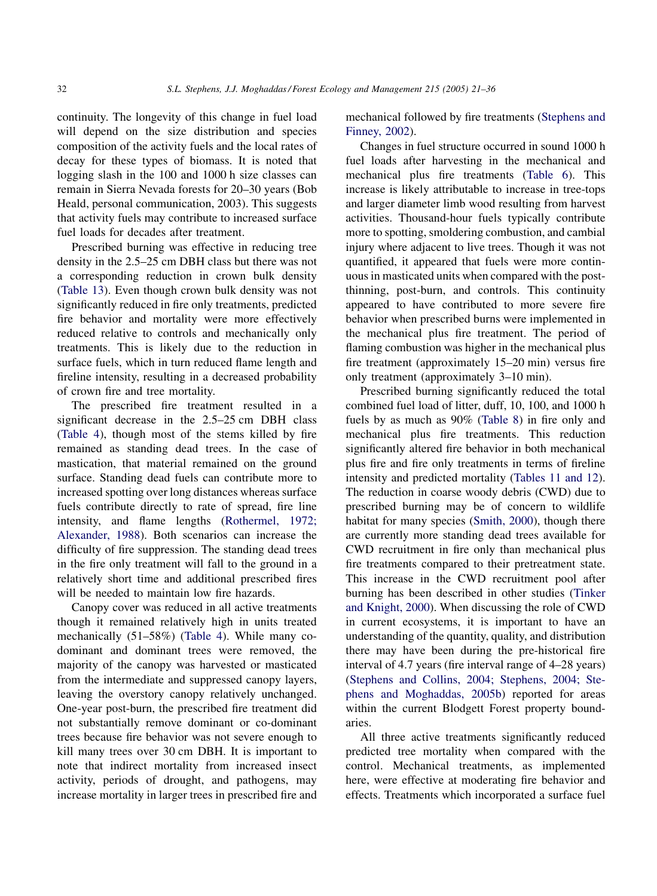continuity. The longevity of this change in fuel load will depend on the size distribution and species composition of the activity fuels and the local rates of decay for these types of biomass. It is noted that logging slash in the 100 and 1000 h size classes can remain in Sierra Nevada forests for 20–30 years (Bob Heald, personal communication, 2003). This suggests that activity fuels may contribute to increased surface fuel loads for decades after treatment.

Prescribed burning was effective in reducing tree density in the 2.5–25 cm DBH class but there was not a corresponding reduction in crown bulk density ([Table 13](#page-10-0)). Even though crown bulk density was not significantly reduced in fire only treatments, predicted fire behavior and mortality were more effectively reduced relative to controls and mechanically only treatments. This is likely due to the reduction in surface fuels, which in turn reduced flame length and fireline intensity, resulting in a decreased probability of crown fire and tree mortality.

The prescribed fire treatment resulted in a significant decrease in the 2.5–25 cm DBH class ([Table 4\)](#page-5-0), though most of the stems killed by fire remained as standing dead trees. In the case of mastication, that material remained on the ground surface. Standing dead fuels can contribute more to increased spotting over long distances whereas surface fuels contribute directly to rate of spread, fire line intensity, and flame lengths ([Rothermel, 1972;](#page-14-0) [Alexander, 1988](#page-14-0)). Both scenarios can increase the difficulty of fire suppression. The standing dead trees in the fire only treatment will fall to the ground in a relatively short time and additional prescribed fires will be needed to maintain low fire hazards.

Canopy cover was reduced in all active treatments though it remained relatively high in units treated mechanically (51–58%) ([Table 4](#page-5-0)). While many codominant and dominant trees were removed, the majority of the canopy was harvested or masticated from the intermediate and suppressed canopy layers, leaving the overstory canopy relatively unchanged. One-year post-burn, the prescribed fire treatment did not substantially remove dominant or co-dominant trees because fire behavior was not severe enough to kill many trees over 30 cm DBH. It is important to note that indirect mortality from increased insect activity, periods of drought, and pathogens, may increase mortality in larger trees in prescribed fire and mechanical followed by fire treatments ([Stephens and](#page-15-0) [Finney, 2002](#page-15-0)).

Changes in fuel structure occurred in sound 1000 h fuel loads after harvesting in the mechanical and mechanical plus fire treatments [\(Table 6\)](#page-6-0). This increase is likely attributable to increase in tree-tops and larger diameter limb wood resulting from harvest activities. Thousand-hour fuels typically contribute more to spotting, smoldering combustion, and cambial injury where adjacent to live trees. Though it was not quantified, it appeared that fuels were more continuous in masticated units when compared with the postthinning, post-burn, and controls. This continuity appeared to have contributed to more severe fire behavior when prescribed burns were implemented in the mechanical plus fire treatment. The period of flaming combustion was higher in the mechanical plus fire treatment (approximately 15–20 min) versus fire only treatment (approximately 3–10 min).

Prescribed burning significantly reduced the total combined fuel load of litter, duff, 10, 100, and 1000 h fuels by as much as 90% [\(Table 8\)](#page-7-0) in fire only and mechanical plus fire treatments. This reduction significantly altered fire behavior in both mechanical plus fire and fire only treatments in terms of fireline intensity and predicted mortality ([Tables 11 and 12\)](#page-9-0). The reduction in coarse woody debris (CWD) due to prescribed burning may be of concern to wildlife habitat for many species [\(Smith, 2000\)](#page-15-0), though there are currently more standing dead trees available for CWD recruitment in fire only than mechanical plus fire treatments compared to their pretreatment state. This increase in the CWD recruitment pool after burning has been described in other studies [\(Tinker](#page-15-0) [and Knight, 2000](#page-15-0)). When discussing the role of CWD in current ecosystems, it is important to have an understanding of the quantity, quality, and distribution there may have been during the pre-historical fire interval of 4.7 years (fire interval range of 4–28 years) ([Stephens and Collins, 2004; Stephens, 2004; Ste](#page-15-0)[phens and Moghaddas, 2005b\)](#page-15-0) reported for areas within the current Blodgett Forest property boundaries.

All three active treatments significantly reduced predicted tree mortality when compared with the control. Mechanical treatments, as implemented here, were effective at moderating fire behavior and effects. Treatments which incorporated a surface fuel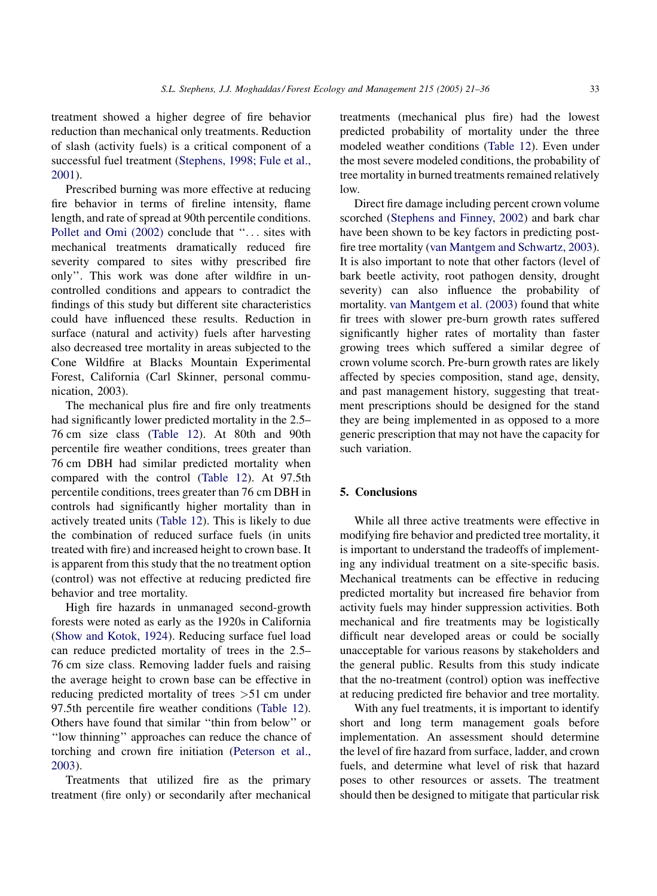treatment showed a higher degree of fire behavior reduction than mechanical only treatments. Reduction of slash (activity fuels) is a critical component of a successful fuel treatment [\(Stephens, 1998; Fule et al.,](#page-15-0) [2001](#page-15-0)).

Prescribed burning was more effective at reducing fire behavior in terms of fireline intensity, flame length, and rate of spread at 90th percentile conditions. [Pollet and Omi \(2002\)](#page-14-0) conclude that ''... sites with mechanical treatments dramatically reduced fire severity compared to sites withy prescribed fire only''. This work was done after wildfire in uncontrolled conditions and appears to contradict the findings of this study but different site characteristics could have influenced these results. Reduction in surface (natural and activity) fuels after harvesting also decreased tree mortality in areas subjected to the Cone Wildfire at Blacks Mountain Experimental Forest, California (Carl Skinner, personal communication, 2003).

The mechanical plus fire and fire only treatments had significantly lower predicted mortality in the 2.5– 76 cm size class ([Table 12\)](#page-9-0). At 80th and 90th percentile fire weather conditions, trees greater than 76 cm DBH had similar predicted mortality when compared with the control [\(Table 12\)](#page-9-0). At 97.5th percentile conditions, trees greater than 76 cm DBH in controls had significantly higher mortality than in actively treated units ([Table 12\)](#page-9-0). This is likely to due the combination of reduced surface fuels (in units treated with fire) and increased height to crown base. It is apparent from this study that the no treatment option (control) was not effective at reducing predicted fire behavior and tree mortality.

High fire hazards in unmanaged second-growth forests were noted as early as the 1920s in California ([Show and Kotok, 1924](#page-15-0)). Reducing surface fuel load can reduce predicted mortality of trees in the 2.5– 76 cm size class. Removing ladder fuels and raising the average height to crown base can be effective in reducing predicted mortality of trees >51 cm under 97.5th percentile fire weather conditions ([Table 12\)](#page-9-0). Others have found that similar ''thin from below'' or ''low thinning'' approaches can reduce the chance of torching and crown fire initiation ([Peterson et al.,](#page-14-0) [2003](#page-14-0)).

Treatments that utilized fire as the primary treatment (fire only) or secondarily after mechanical treatments (mechanical plus fire) had the lowest predicted probability of mortality under the three modeled weather conditions [\(Table 12](#page-9-0)). Even under the most severe modeled conditions, the probability of tree mortality in burned treatments remained relatively low.

Direct fire damage including percent crown volume scorched ([Stephens and Finney, 2002\)](#page-15-0) and bark char have been shown to be key factors in predicting postfire tree mortality [\(van Mantgem and Schwartz, 2003](#page-15-0)). It is also important to note that other factors (level of bark beetle activity, root pathogen density, drought severity) can also influence the probability of mortality. [van Mantgem et al. \(2003\)](#page-15-0) found that white fir trees with slower pre-burn growth rates suffered significantly higher rates of mortality than faster growing trees which suffered a similar degree of crown volume scorch. Pre-burn growth rates are likely affected by species composition, stand age, density, and past management history, suggesting that treatment prescriptions should be designed for the stand they are being implemented in as opposed to a more generic prescription that may not have the capacity for such variation.

## 5. Conclusions

While all three active treatments were effective in modifying fire behavior and predicted tree mortality, it is important to understand the tradeoffs of implementing any individual treatment on a site-specific basis. Mechanical treatments can be effective in reducing predicted mortality but increased fire behavior from activity fuels may hinder suppression activities. Both mechanical and fire treatments may be logistically difficult near developed areas or could be socially unacceptable for various reasons by stakeholders and the general public. Results from this study indicate that the no-treatment (control) option was ineffective at reducing predicted fire behavior and tree mortality.

With any fuel treatments, it is important to identify short and long term management goals before implementation. An assessment should determine the level of fire hazard from surface, ladder, and crown fuels, and determine what level of risk that hazard poses to other resources or assets. The treatment should then be designed to mitigate that particular risk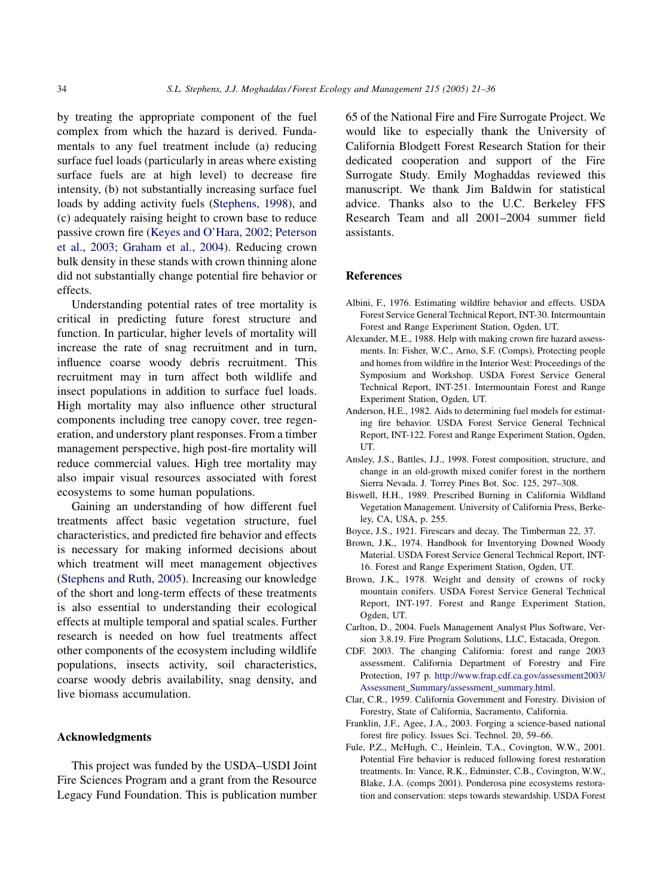<span id="page-13-0"></span>by treating the appropriate component of the fuel complex from which the hazard is derived. Fundamentals to any fuel treatment include (a) reducing surface fuel loads (particularly in areas where existing surface fuels are at high level) to decrease fire intensity, (b) not substantially increasing surface fuel loads by adding activity fuels ([Stephens, 1998\)](#page-15-0), and (c) adequately raising height to crown base to reduce passive crown fire ([Keyes and O'Hara, 2002; Peterson](#page-14-0) [et al., 2003; Graham et al., 2004\)](#page-14-0). Reducing crown bulk density in these stands with crown thinning alone did not substantially change potential fire behavior or effects.

Understanding potential rates of tree mortality is critical in predicting future forest structure and function. In particular, higher levels of mortality will increase the rate of snag recruitment and in turn, influence coarse woody debris recruitment. This recruitment may in turn affect both wildlife and insect populations in addition to surface fuel loads. High mortality may also influence other structural components including tree canopy cover, tree regeneration, and understory plant responses. From a timber management perspective, high post-fire mortality will reduce commercial values. High tree mortality may also impair visual resources associated with forest ecosystems to some human populations.

Gaining an understanding of how different fuel treatments affect basic vegetation structure, fuel characteristics, and predicted fire behavior and effects is necessary for making informed decisions about which treatment will meet management objectives ([Stephens and Ruth, 2005\)](#page-15-0). Increasing our knowledge of the short and long-term effects of these treatments is also essential to understanding their ecological effects at multiple temporal and spatial scales. Further research is needed on how fuel treatments affect other components of the ecosystem including wildlife populations, insects activity, soil characteristics, coarse woody debris availability, snag density, and live biomass accumulation.

# Acknowledgments

This project was funded by the USDA–USDI Joint Fire Sciences Program and a grant from the Resource Legacy Fund Foundation. This is publication number

65 of the National Fire and Fire Surrogate Project. We would like to especially thank the University of California Blodgett Forest Research Station for their dedicated cooperation and support of the Fire Surrogate Study. Emily Moghaddas reviewed this manuscript. We thank Jim Baldwin for statistical advice. Thanks also to the U.C. Berkeley FFS Research Team and all 2001–2004 summer field assistants.

## References

- Albini, F., 1976. Estimating wildfire behavior and effects. USDA Forest Service General Technical Report, INT-30. Intermountain Forest and Range Experiment Station, Ogden, UT.
- Alexander, M.E., 1988. Help with making crown fire hazard assessments. In: Fisher, W.C., Arno, S.F. (Comps), Protecting people and homes from wildfire in the Interior West: Proceedings of the Symposium and Workshop. USDA Forest Service General Technical Report, INT-251. Intermountain Forest and Range Experiment Station, Ogden, UT.
- Anderson, H.E., 1982. Aids to determining fuel models for estimating fire behavior. USDA Forest Service General Technical Report, INT-122. Forest and Range Experiment Station, Ogden, UT.
- Ansley, J.S., Battles, J.J., 1998. Forest composition, structure, and change in an old-growth mixed conifer forest in the northern Sierra Nevada. J. Torrey Pines Bot. Soc. 125, 297–308.
- Biswell, H.H., 1989. Prescribed Burning in California Wildland Vegetation Management. University of California Press, Berkeley, CA, USA, p. 255.
- Boyce, J.S., 1921. Firescars and decay. The Timberman 22, 37.
- Brown, J.K., 1974. Handbook for Inventorying Downed Woody Material. USDA Forest Service General Technical Report, INT-16. Forest and Range Experiment Station, Ogden, UT.
- Brown, J.K., 1978. Weight and density of crowns of rocky mountain conifers. USDA Forest Service General Technical Report, INT-197. Forest and Range Experiment Station, Ogden, UT.
- Carlton, D., 2004. Fuels Management Analyst Plus Software, Version 3.8.19. Fire Program Solutions, LLC, Estacada, Oregon.
- CDF. 2003. The changing California: forest and range 2003 assessment. California Department of Forestry and Fire Protection, 197 p. [http://www.frap.cdf.ca.gov/assessment2003/](http://www.frap.cdf.ca.gov/assessment2003/Assessment_Summary/assessment_summary.html) [Assessment\\_Summary/assessment\\_summary.html](http://www.frap.cdf.ca.gov/assessment2003/Assessment_Summary/assessment_summary.html).
- Clar, C.R., 1959. California Government and Forestry. Division of Forestry, State of California, Sacramento, California.
- Franklin, J.F., Agee, J.A., 2003. Forging a science-based national forest fire policy. Issues Sci. Technol. 20, 59–66.
- Fule, P.Z., McHugh, C., Heinlein, T.A., Covington, W.W., 2001. Potential Fire behavior is reduced following forest restoration treatments. In: Vance, R.K., Edminster, C.B., Covington, W.W., Blake, J.A. (comps 2001). Ponderosa pine ecosystems restoration and conservation: steps towards stewardship. USDA Forest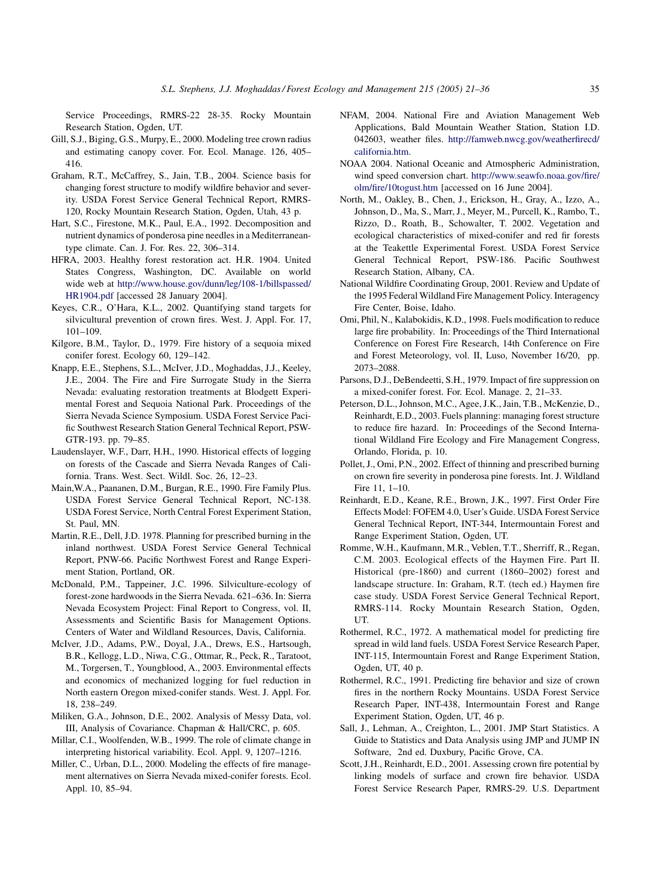<span id="page-14-0"></span>Service Proceedings, RMRS-22 28-35. Rocky Mountain Research Station, Ogden, UT.

- Gill, S.J., Biging, G.S., Murpy, E., 2000. Modeling tree crown radius and estimating canopy cover. For. Ecol. Manage. 126, 405– 416.
- Graham, R.T., McCaffrey, S., Jain, T.B., 2004. Science basis for changing forest structure to modify wildfire behavior and severity. USDA Forest Service General Technical Report, RMRS-120, Rocky Mountain Research Station, Ogden, Utah, 43 p.
- Hart, S.C., Firestone, M.K., Paul, E.A., 1992. Decomposition and nutrient dynamics of ponderosa pine needles in a Mediterraneantype climate. Can. J. For. Res. 22, 306–314.
- HFRA, 2003. Healthy forest restoration act. H.R. 1904. United States Congress, Washington, DC. Available on world wide web at [http://www.house.gov/dunn/leg/108-1/billspassed/](http://www.house.gov/dunn/leg/108-1/billspassed/HR1904.pdf) [HR1904.pdf](http://www.house.gov/dunn/leg/108-1/billspassed/HR1904.pdf) [accessed 28 January 2004].
- Keyes, C.R., O'Hara, K.L., 2002. Quantifying stand targets for silvicultural prevention of crown fires. West. J. Appl. For. 17, 101–109.
- Kilgore, B.M., Taylor, D., 1979. Fire history of a sequoia mixed conifer forest. Ecology 60, 129–142.
- Knapp, E.E., Stephens, S.L., McIver, J.D., Moghaddas, J.J., Keeley, J.E., 2004. The Fire and Fire Surrogate Study in the Sierra Nevada: evaluating restoration treatments at Blodgett Experimental Forest and Sequoia National Park. Proceedings of the Sierra Nevada Science Symposium. USDA Forest Service Pacific Southwest Research Station General Technical Report, PSW-GTR-193. pp. 79–85.
- Laudenslayer, W.F., Darr, H.H., 1990. Historical effects of logging on forests of the Cascade and Sierra Nevada Ranges of California. Trans. West. Sect. Wildl. Soc. 26, 12–23.
- Main,W.A., Paananen, D.M., Burgan, R.E., 1990. Fire Family Plus. USDA Forest Service General Technical Report, NC-138. USDA Forest Service, North Central Forest Experiment Station, St. Paul, MN.
- Martin, R.E., Dell, J.D. 1978. Planning for prescribed burning in the inland northwest. USDA Forest Service General Technical Report, PNW-66. Pacific Northwest Forest and Range Experiment Station, Portland, OR.
- McDonald, P.M., Tappeiner, J.C. 1996. Silviculture-ecology of forest-zone hardwoods in the Sierra Nevada. 621–636. In: Sierra Nevada Ecosystem Project: Final Report to Congress, vol. II, Assessments and Scientific Basis for Management Options. Centers of Water and Wildland Resources, Davis, California.
- McIver, J.D., Adams, P.W., Doyal, J.A., Drews, E.S., Hartsough, B.R., Kellogg, L.D., Niwa, C.G., Ottmar, R., Peck, R., Taratoot, M., Torgersen, T., Youngblood, A., 2003. Environmental effects and economics of mechanized logging for fuel reduction in North eastern Oregon mixed-conifer stands. West. J. Appl. For. 18, 238–249.
- Miliken, G.A., Johnson, D.E., 2002. Analysis of Messy Data, vol. III, Analysis of Covariance. Chapman & Hall/CRC, p. 605.
- Millar, C.I., Woolfenden, W.B., 1999. The role of climate change in interpreting historical variability. Ecol. Appl. 9, 1207–1216.
- Miller, C., Urban, D.L., 2000. Modeling the effects of fire management alternatives on Sierra Nevada mixed-conifer forests. Ecol. Appl. 10, 85–94.
- NFAM, 2004. National Fire and Aviation Management Web Applications, Bald Mountain Weather Station, Station I.D. 042603, weather files. [http://famweb.nwcg.gov/weatherfirecd/](http://famweb.nwcg.gov/weatherfirecd/california.htm) [california.htm.](http://famweb.nwcg.gov/weatherfirecd/california.htm)
- NOAA 2004. National Oceanic and Atmospheric Administration, wind speed conversion chart. [http://www.seawfo.noaa.gov/fire/](http://www.seawfo.noaa.gov/fire/olm/fire/10togust.htm) [olm/fire/10togust.htm](http://www.seawfo.noaa.gov/fire/olm/fire/10togust.htm) [accessed on 16 June 2004].
- North, M., Oakley, B., Chen, J., Erickson, H., Gray, A., Izzo, A., Johnson, D., Ma, S., Marr, J., Meyer, M., Purcell, K., Rambo, T., Rizzo, D., Roath, B., Schowalter, T. 2002. Vegetation and ecological characteristics of mixed-conifer and red fir forests at the Teakettle Experimental Forest. USDA Forest Service General Technical Report, PSW-186. Pacific Southwest Research Station, Albany, CA.
- National Wildfire Coordinating Group, 2001. Review and Update of the 1995 Federal Wildland Fire Management Policy. Interagency Fire Center, Boise, Idaho.
- Omi, Phil, N., Kalabokidis, K.D., 1998. Fuels modification to reduce large fire probability. In: Proceedings of the Third International Conference on Forest Fire Research, 14th Conference on Fire and Forest Meteorology, vol. II, Luso, November 16/20, pp. 2073–2088.
- Parsons, D.J., DeBendeetti, S.H., 1979. Impact of fire suppression on a mixed-conifer forest. For. Ecol. Manage. 2, 21–33.
- Peterson, D.L., Johnson, M.C., Agee, J.K., Jain, T.B., McKenzie, D., Reinhardt, E.D., 2003. Fuels planning: managing forest structure to reduce fire hazard. In: Proceedings of the Second International Wildland Fire Ecology and Fire Management Congress, Orlando, Florida, p. 10.
- Pollet, J., Omi, P.N., 2002. Effect of thinning and prescribed burning on crown fire severity in ponderosa pine forests. Int. J. Wildland Fire 11, 1–10.
- Reinhardt, E.D., Keane, R.E., Brown, J.K., 1997. First Order Fire Effects Model: FOFEM 4.0, User's Guide. USDA Forest Service General Technical Report, INT-344, Intermountain Forest and Range Experiment Station, Ogden, UT.
- Romme, W.H., Kaufmann, M.R., Veblen, T.T., Sherriff, R., Regan, C.M. 2003. Ecological effects of the Haymen Fire. Part II. Historical (pre-1860) and current (1860–2002) forest and landscape structure. In: Graham, R.T. (tech ed.) Haymen fire case study. USDA Forest Service General Technical Report, RMRS-114. Rocky Mountain Research Station, Ogden, UT.
- Rothermel, R.C., 1972. A mathematical model for predicting fire spread in wild land fuels. USDA Forest Service Research Paper, INT-115, Intermountain Forest and Range Experiment Station, Ogden, UT, 40 p.
- Rothermel, R.C., 1991. Predicting fire behavior and size of crown fires in the northern Rocky Mountains. USDA Forest Service Research Paper, INT-438, Intermountain Forest and Range Experiment Station, Ogden, UT, 46 p.
- Sall, J., Lehman, A., Creighton, L., 2001. JMP Start Statistics. A Guide to Statistics and Data Analysis using JMP and JUMP IN Software, 2nd ed. Duxbury, Pacific Grove, CA.
- Scott, J.H., Reinhardt, E.D., 2001. Assessing crown fire potential by linking models of surface and crown fire behavior. USDA Forest Service Research Paper, RMRS-29. U.S. Department